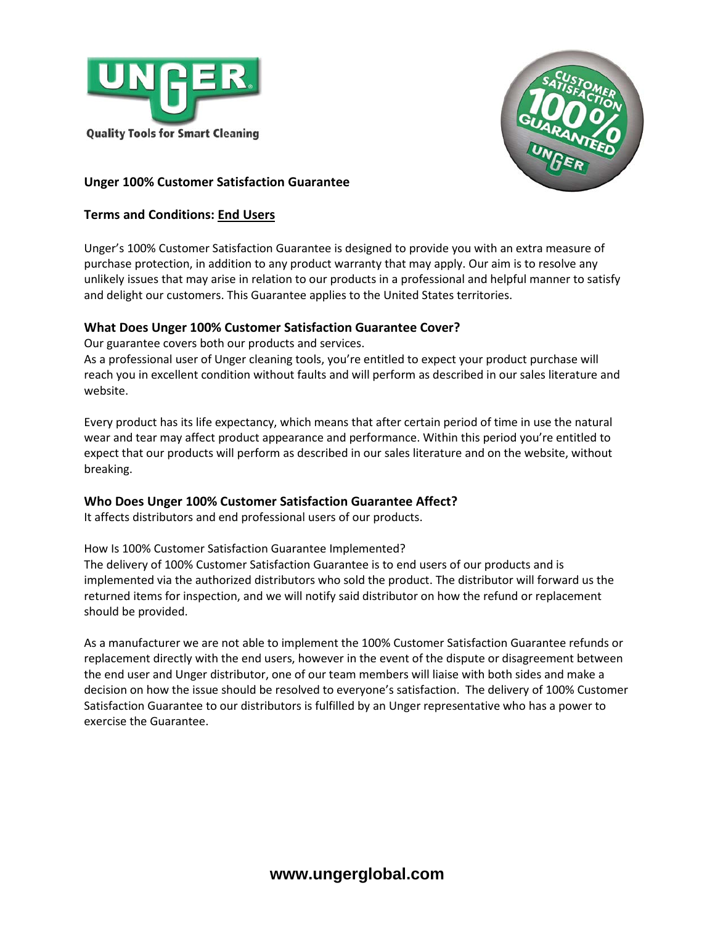



# **Unger 100% Customer Satisfaction Guarantee**

## **Terms and Conditions: End Users**

Unger's 100% Customer Satisfaction Guarantee is designed to provide you with an extra measure of purchase protection, in addition to any product warranty that may apply. Our aim is to resolve any unlikely issues that may arise in relation to our products in a professional and helpful manner to satisfy and delight our customers. This Guarantee applies to the United States territories.

# **What Does Unger 100% Customer Satisfaction Guarantee Cover?**

Our guarantee covers both our products and services.

As a professional user of Unger cleaning tools, you're entitled to expect your product purchase will reach you in excellent condition without faults and will perform as described in our sales literature and website.

Every product has its life expectancy, which means that after certain period of time in use the natural wear and tear may affect product appearance and performance. Within this period you're entitled to expect that our products will perform as described in our sales literature and on the website, without breaking.

## **Who Does Unger 100% Customer Satisfaction Guarantee Affect?**

It affects distributors and end professional users of our products.

How Is 100% Customer Satisfaction Guarantee Implemented?

The delivery of 100% Customer Satisfaction Guarantee is to end users of our products and is implemented via the authorized distributors who sold the product. The distributor will forward us the returned items for inspection, and we will notify said distributor on how the refund or replacement should be provided.

As a manufacturer we are not able to implement the 100% Customer Satisfaction Guarantee refunds or replacement directly with the end users, however in the event of the dispute or disagreement between the end user and Unger distributor, one of our team members will liaise with both sides and make a decision on how the issue should be resolved to everyone's satisfaction. The delivery of 100% Customer Satisfaction Guarantee to our distributors is fulfilled by an Unger representative who has a power to exercise the Guarantee.